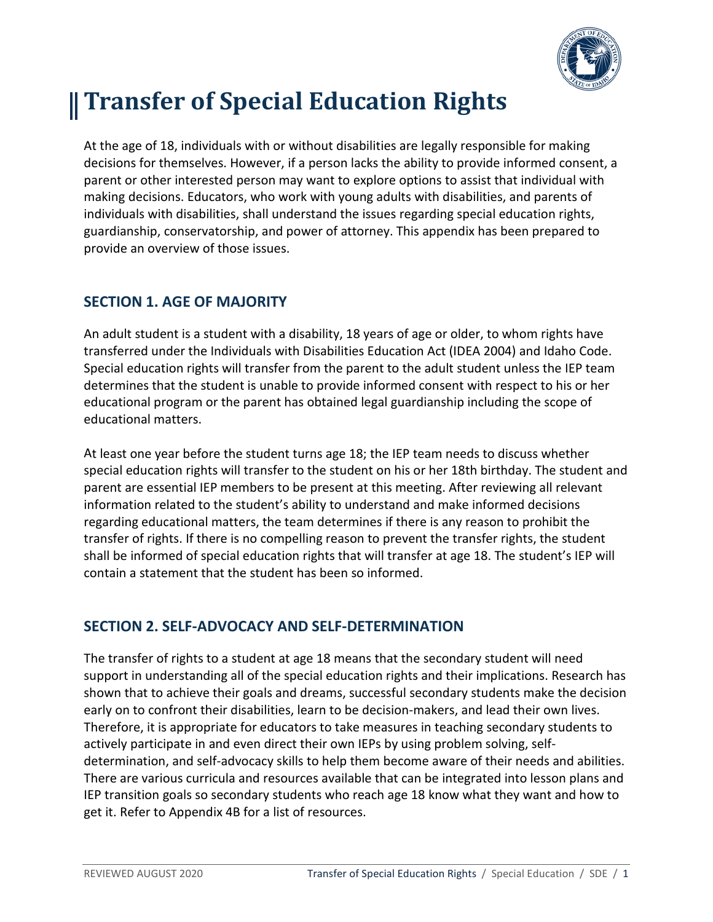

# **Transfer of Special Education Rights**

At the age of 18, individuals with or without disabilities are legally responsible for making decisions for themselves. However, if a person lacks the ability to provide informed consent, a parent or other interested person may want to explore options to assist that individual with making decisions. Educators, who work with young adults with disabilities, and parents of individuals with disabilities, shall understand the issues regarding special education rights, guardianship, conservatorship, and power of attorney. This appendix has been prepared to provide an overview of those issues.

## **SECTION 1. AGE OF MAJORITY**

An adult student is a student with a disability, 18 years of age or older, to whom rights have transferred under the Individuals with Disabilities Education Act (IDEA 2004) and Idaho Code. Special education rights will transfer from the parent to the adult student unless the IEP team determines that the student is unable to provide informed consent with respect to his or her educational program or the parent has obtained legal guardianship including the scope of educational matters.

At least one year before the student turns age 18; the IEP team needs to discuss whether special education rights will transfer to the student on his or her 18th birthday. The student and parent are essential IEP members to be present at this meeting. After reviewing all relevant information related to the student's ability to understand and make informed decisions regarding educational matters, the team determines if there is any reason to prohibit the transfer of rights. If there is no compelling reason to prevent the transfer rights, the student shall be informed of special education rights that will transfer at age 18. The student's IEP will contain a statement that the student has been so informed.

### **SECTION 2. SELF-ADVOCACY AND SELF-DETERMINATION**

The transfer of rights to a student at age 18 means that the secondary student will need support in understanding all of the special education rights and their implications. Research has shown that to achieve their goals and dreams, successful secondary students make the decision early on to confront their disabilities, learn to be decision-makers, and lead their own lives. Therefore, it is appropriate for educators to take measures in teaching secondary students to actively participate in and even direct their own IEPs by using problem solving, selfdetermination, and self-advocacy skills to help them become aware of their needs and abilities. There are various curricula and resources available that can be integrated into lesson plans and IEP transition goals so secondary students who reach age 18 know what they want and how to get it. Refer to Appendix 4B for a list of resources.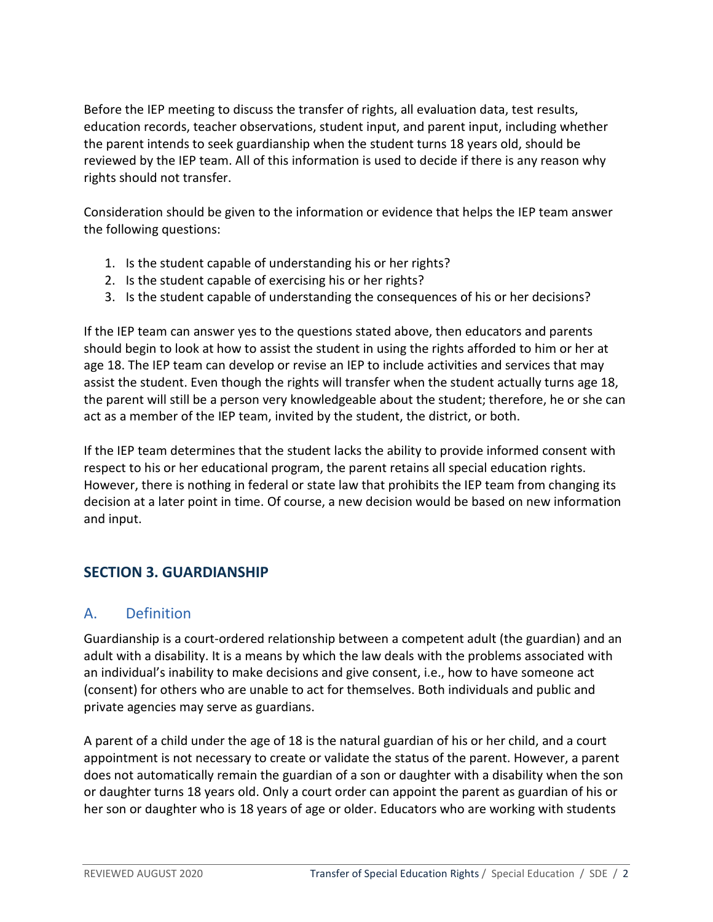Before the IEP meeting to discuss the transfer of rights, all evaluation data, test results, education records, teacher observations, student input, and parent input, including whether the parent intends to seek guardianship when the student turns 18 years old, should be reviewed by the IEP team. All of this information is used to decide if there is any reason why rights should not transfer.

Consideration should be given to the information or evidence that helps the IEP team answer the following questions:

- 1. Is the student capable of understanding his or her rights?
- 2. Is the student capable of exercising his or her rights?
- 3. Is the student capable of understanding the consequences of his or her decisions?

If the IEP team can answer yes to the questions stated above, then educators and parents should begin to look at how to assist the student in using the rights afforded to him or her at age 18. The IEP team can develop or revise an IEP to include activities and services that may assist the student. Even though the rights will transfer when the student actually turns age 18, the parent will still be a person very knowledgeable about the student; therefore, he or she can act as a member of the IEP team, invited by the student, the district, or both.

If the IEP team determines that the student lacks the ability to provide informed consent with respect to his or her educational program, the parent retains all special education rights. However, there is nothing in federal or state law that prohibits the IEP team from changing its decision at a later point in time. Of course, a new decision would be based on new information and input.

# **SECTION 3. GUARDIANSHIP**

### A. Definition

Guardianship is a court-ordered relationship between a competent adult (the guardian) and an adult with a disability. It is a means by which the law deals with the problems associated with an individual's inability to make decisions and give consent, i.e., how to have someone act (consent) for others who are unable to act for themselves. Both individuals and public and private agencies may serve as guardians.

A parent of a child under the age of 18 is the natural guardian of his or her child, and a court appointment is not necessary to create or validate the status of the parent. However, a parent does not automatically remain the guardian of a son or daughter with a disability when the son or daughter turns 18 years old. Only a court order can appoint the parent as guardian of his or her son or daughter who is 18 years of age or older. Educators who are working with students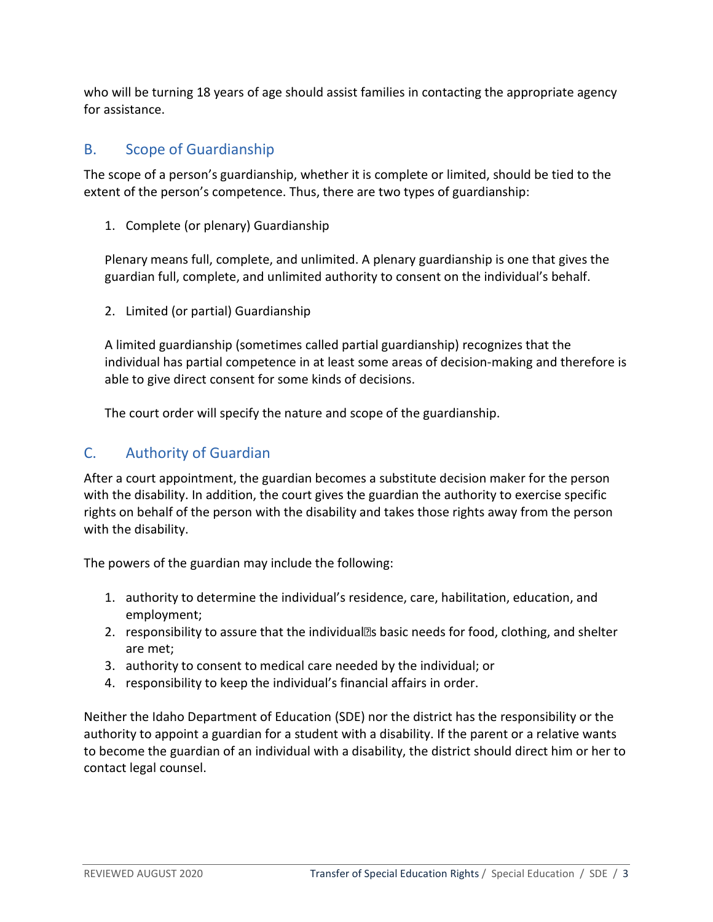who will be turning 18 years of age should assist families in contacting the appropriate agency for assistance.

#### B. Scope of Guardianship

The scope of a person's guardianship, whether it is complete or limited, should be tied to the extent of the person's competence. Thus, there are two types of guardianship:

1. Complete (or plenary) Guardianship

Plenary means full, complete, and unlimited. A plenary guardianship is one that gives the guardian full, complete, and unlimited authority to consent on the individual's behalf.

2. Limited (or partial) Guardianship

A limited guardianship (sometimes called partial guardianship) recognizes that the individual has partial competence in at least some areas of decision-making and therefore is able to give direct consent for some kinds of decisions.

The court order will specify the nature and scope of the guardianship.

#### C. Authority of Guardian

After a court appointment, the guardian becomes a substitute decision maker for the person with the disability. In addition, the court gives the guardian the authority to exercise specific rights on behalf of the person with the disability and takes those rights away from the person with the disability.

The powers of the guardian may include the following:

- 1. authority to determine the individual's residence, care, habilitation, education, and employment;
- 2. responsibility to assure that the individual<sup>''</sup> basic needs for food, clothing, and shelter are met;
- 3. authority to consent to medical care needed by the individual; or
- 4. responsibility to keep the individual's financial affairs in order.

Neither the Idaho Department of Education (SDE) nor the district has the responsibility or the authority to appoint a guardian for a student with a disability. If the parent or a relative wants to become the guardian of an individual with a disability, the district should direct him or her to contact legal counsel.